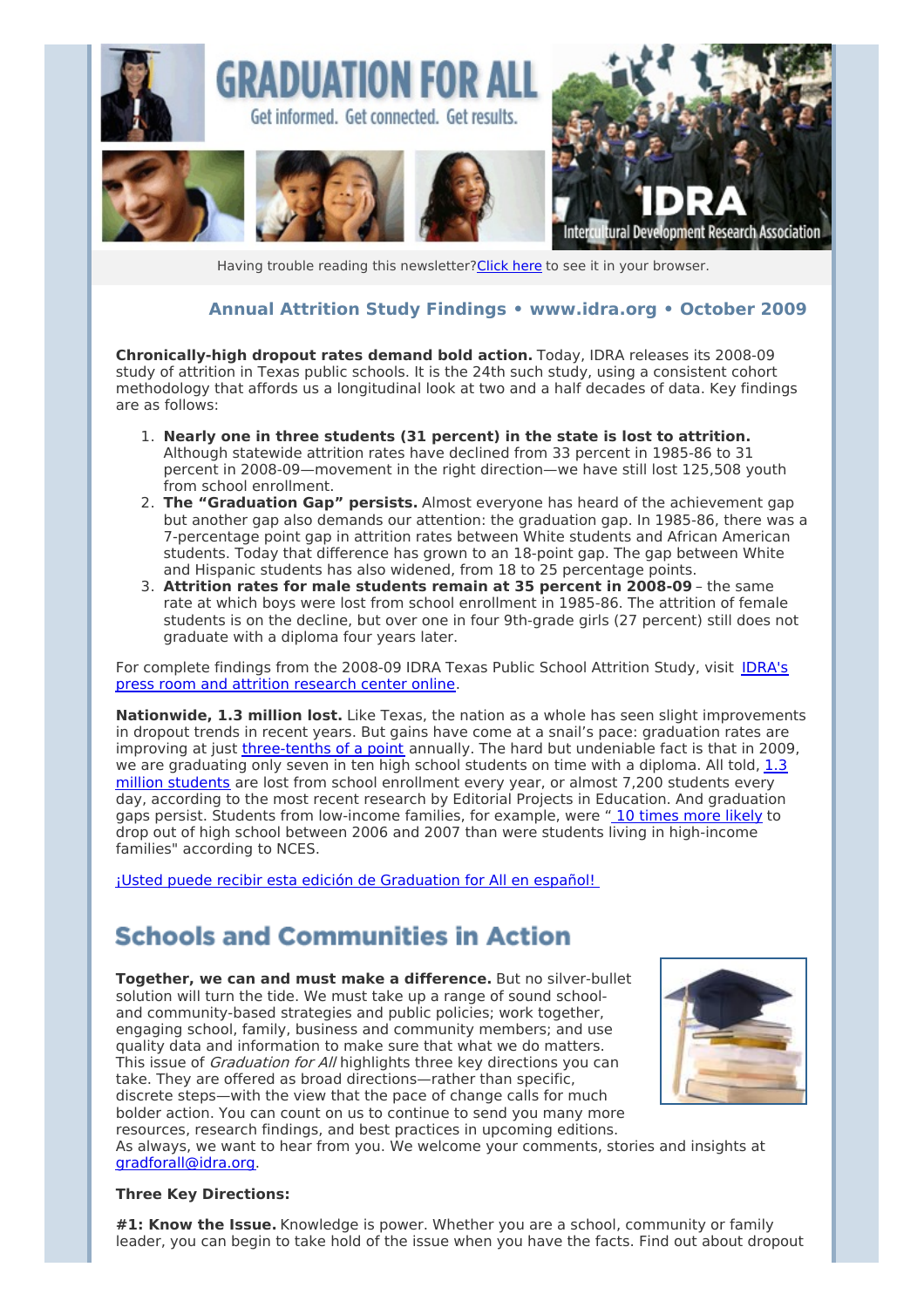

Having trouble reading this newsletter? Click here to see it in your browser.

### **Annual Attrition Study Findings • [www.idra.org](http://idra.createsend1.com/t/1/l/htnyu/l/www.idra.org) • October 2009**

**Chronically-high dropout rates demand bold action.** Today, IDRA releases its 2008-09 study of attrition in Texas public schools. It is the 24th such study, using a consistent cohort methodology that affords us a longitudinal look at two and a half decades of data. Key findings are as follows:

- 1. **Nearly one in three students (31 percent) in the state is lost to attrition.** Although statewide attrition rates have declined from 33 percent in 1985-86 to 31 percent in 2008-09—movement in the right direction—we have still lost 125,508 youth from school enrollment.
- 2. **The "Graduation Gap" persists.** Almost everyone has heard of the achievement gap but another gap also demands our attention: the graduation gap. In 1985-86, there was a 7-percentage point gap in attrition rates between White students and African American students. Today that difference has grown to an 18-point gap. The gap between White and Hispanic students has also widened, from 18 to 25 percentage points.
- 3. **Attrition rates for male students remain at 35 percent in 2008-09** the same rate at which boys were lost from school enrollment in 1985-86. The attrition of female students is on the decline, but over one in four 9th-grade girls (27 percent) still does not graduate with a diploma four years later.

For [complete](http://idra.createsend1.com/t/r/l/htnyu/l/r) findings from the 2008-09 IDRA Texas Public School Attrition Study, visit IDRA's press room and attrition research center online.

**Nationwide, 1.3 million lost.** Like Texas, the nation as a whole has seen slight improvements in dropout trends in recent years. But gains have come at a snail's pace: graduation rates are improving at just [three-tenths](http://idra.createsend1.com/t/r/l/htnyu/l/y) of a point annually. The hard but undeniable fact is that in 2009, we are [graduating](http://idra.createsend1.com/t/r/l/htnyu/l/j) only seven in ten high school students on time with a diploma. All told,  $1.3$ million students are lost from school enrollment every year, or almost 7,200 students every day, according to the most recent research by Editorial Projects in Education. And graduation gaps persist. Students from low-income families, for example, were " 10 [times](http://idra.createsend1.com/t/r/l/htnyu/l/t) more likely to drop out of high school between 2006 and 2007 than were students living in high-income families" according to NCES.

¡Usted puede recibir esta edición de [Graduation](http://idra.createsend1.com/t/r/l/htnyu/l/i) for All en español!

### **Schools and Communities in Action**

**Together, we can and must make a difference.** But no silver-bullet solution will turn the tide. We must take up a range of sound schooland community-based strategies and public policies; work together, engaging school, family, business and community members; and use quality data and information to make sure that what we do matters. This issue of Graduation for All highlights three key directions you can take. They are offered as broad directions—rather than specific, discrete steps—with the view that the pace of change calls for much bolder action. You can count on us to continue to send you many more resources, research findings, and best practices in upcoming editions.



As always, we want to hear from you. We welcome your comments, stories and insights at [gradforall@idra.org](mailto:gradforall@idra.org).

#### **Three Key Directions:**

**#1: Know the Issue.** Knowledge is power. Whether you are a school, community or family leader, you can begin to take hold of the issue when you have the facts. Find out about dropout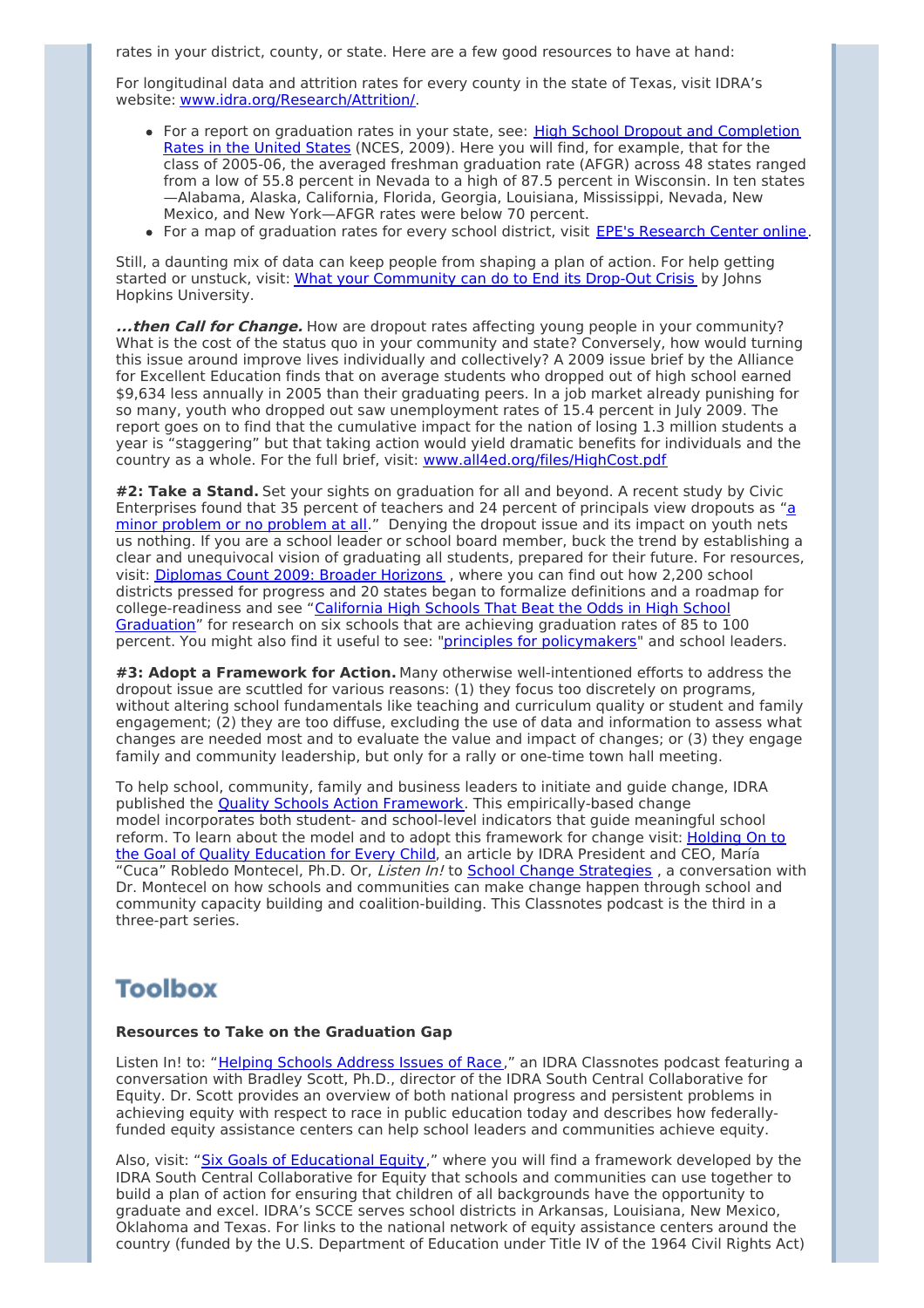rates in your district, county, or state. Here are a few good resources to have at hand:

For longitudinal data and attrition rates for every county in the state of Texas, visit IDRA's website: [www.idra.org/Research/Attrition/](http://idra.createsend1.com/t/r/l/htnyu/l/h).

- For a report on graduation rates in your state, see: High School Dropout and [Completion](http://idra.createsend1.com/t/r/l/htnyu/l/k) Rates in the United States (NCES, 2009). Here you will find, for example, that for the class of 2005-06, the averaged freshman graduation rate (AFGR) across 48 states ranged from a low of 55.8 percent in Nevada to a high of 87.5 percent in Wisconsin. In ten states —Alabama, Alaska, California, Florida, Georgia, Louisiana, Mississippi, Nevada, New Mexico, and New York—AFGR rates were below 70 percent.
- For a map of graduation rates for every school district, visit EPE's [Research](http://idra.createsend1.com/t/r/l/htnyu/l/u) Center online.

Still, a daunting mix of data can keep people from shaping a plan of action. For help getting started or unstuck, visit: What your [Community](http://idra.createsend1.com/t/r/l/htnyu/l/o) can do to End its Drop-Out Crisis by Johns Hopkins University.

**...then Call for Change.** How are dropout rates affecting young people in your community? What is the cost of the status quo in your community and state? Conversely, how would turning this issue around improve lives individually and collectively? A 2009 issue brief by the Alliance for Excellent Education finds that on average students who dropped out of high school earned \$9,634 less annually in 2005 than their graduating peers. In a job market already punishing for so many, youth who dropped out saw unemployment rates of 15.4 percent in July 2009. The report goes on to find that the cumulative impact for the nation of losing 1.3 million students a year is "staggering" but that taking action would yield dramatic benefits for individuals and the country as a whole. For the full brief, visit: [www.all4ed.org/files/HighCost.pdf](http://idra.createsend1.com/t/r/l/htnyu/l/b)

**#2: Take a Stand.** Set your sights on graduation for all and beyond. A recent study by Civic [Enterprises](http://idra.createsend1.com/t/r/l/htnyu/l/n) found that 35 percent of teachers and 24 percent of principals view dropouts as "a minor problem or no problem at all." Denying the dropout issue and its impact on youth nets us nothing. If you are a school leader or school board member, buck the trend by establishing a clear and unequivocal vision of graduating all students, prepared for their future. For resources, visit: [Diplomas](http://idra.createsend1.com/t/r/l/htnyu/l/p) Count 2009: Broader Horizons , where you can find out how 2,200 school districts pressed for progress and 20 states began to formalize definitions and a roadmap for [college-readiness](http://idra.createsend1.com/t/r/l/htnyu/l/x) and see "California High Schools That Beat the Odds in High School Graduation" for research on six schools that are achieving graduation rates of 85 to 100 percent. You might also find it useful to see: "principles for [policymakers](http://idra.createsend1.com/t/r/l/htnyu/l/m)" and school leaders.

**#3: Adopt a Framework for Action.** Many otherwise well-intentioned efforts to address the dropout issue are scuttled for various reasons: (1) they focus too discretely on programs, without altering school fundamentals like teaching and curriculum quality or student and family engagement; (2) they are too diffuse, excluding the use of data and information to assess what changes are needed most and to evaluate the value and impact of changes; or (3) they engage family and community leadership, but only for a rally or one-time town hall meeting.

To help school, community, family and business leaders to initiate and guide change, IDRA published the **Quality Schools Action [Framework](http://idra.createsend1.com/t/r/l/htnyu/l/c)**. This empirically-based change model incorporates both student- and school-level indicators that guide meaningful school reform. To learn about the model and to adopt this [framework](http://idra.createsend1.com/t/r/l/htnyu/l/q) for change visit: Holding On to the Goal of Quality Education for Every Child, an article by IDRA President and CEO, María "Cuca" Robledo Montecel, Ph.D. Or, Listen In! to School Change [Strategies](http://idra.createsend1.com/t/r/l/htnyu/l/a), a conversation with Dr. Montecel on how schools and communities can make change happen through school and community capacity building and coalition-building. This Classnotes podcast is the third in a three-part series.

# **Toolbox**

#### **Resources to Take on the Graduation Gap**

Listen In! to: "Helping Schools [Address](http://idra.createsend1.com/t/r/l/htnyu/l/f) Issues of Race," an IDRA Classnotes podcast featuring a conversation with Bradley Scott, Ph.D., director of the IDRA South Central Collaborative for Equity. Dr. Scott provides an overview of both national progress and persistent problems in achieving equity with respect to race in public education today and describes how federallyfunded equity assistance centers can help school leaders and communities achieve equity.

Also, visit: "Six Goals of [Educational](http://idra.createsend1.com/t/r/l/htnyu/l/z) Equity," where you will find a framework developed by the IDRA South Central Collaborative for Equity that schools and communities can use together to build a plan of action for ensuring that children of all backgrounds have the opportunity to graduate and excel. IDRA's SCCE serves school districts in Arkansas, Louisiana, New Mexico, Oklahoma and Texas. For links to the national network of equity assistance centers around the country (funded by the U.S. Department of Education under Title IV of the 1964 Civil Rights Act)